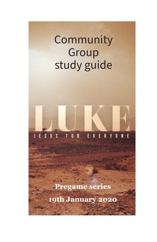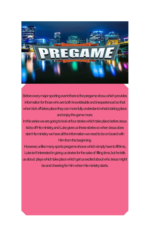

Before every major sporting event there is the pregame show, which provides information for those who are both knowldeable and inexperienced so that when kick off takes place they can more fully understand what is taking place and enjoy the game more.

In this series we are going to look at four stories which take place before Jesus kicks off His ministry, and Luke gives us these stories so when Jesus does start His ministry we have all the information we need to be on board with Him from the beginning.

However, unlike many sports pregame shows which simply have to fill time, Luke isn't interested in giving us stories for the sake of filling time, but he tells us about plays which take place which get us excited about who Jesus might be and cheering for Him when His ministry starts.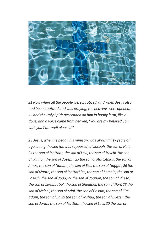

*21 Now when all the people were baptized, and when Jesus also had been baptized and was praying, the heavens were opened, 22 and the Holy Spirit descended on him in bodily form, like a dove; and a voice came from heaven, "You are my beloved Son; with you I am well pleased."* 

*23 Jesus, when he began his ministry, was about thirty years of age, being the son (as was supposed) of Joseph, the son of Heli, 24 the son of Matthat, the son of Levi, the son of Melchi, the son of Jannai, the son of Joseph, 25 the son of Mattathias, the son of Amos, the son of Nahum, the son of Esli, the son of Naggai, 26 the son of Maath, the son of Mattathias, the son of Semein, the son of Josech, the son of Joda, 27 the son of Joanan, the son of Rhesa, the son of Zerubbabel, the son of Shealtiel, the son of Neri, 28 the son of Melchi, the son of Addi, the son of Cosam, the son of Elmadam, the son of Er, 29 the son of Joshua, the son of Eliezer, the son of Jorim, the son of Matthat, the son of Levi, 30 the son of*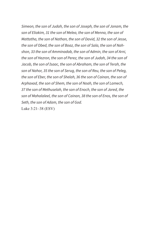*Simeon, the son of Judah, the son of Joseph, the son of Jonam, the son of Eliakim, 31 the son of Melea, the son of Menna, the son of Mattatha, the son of Nathan, the son of David, 32 the son of Jesse, the son of Obed, the son of Boaz, the son of Sala, the son of Nahshon, 33 the son of Amminadab, the son of Admin, the son of Arni, the son of Hezron, the son of Perez, the son of Judah, 34 the son of Jacob, the son of Isaac, the son of Abraham, the son of Terah, the son of Nahor, 35 the son of Serug, the son of Reu, the son of Peleg, the son of Eber, the son of Shelah, 36 the son of Cainan, the son of Arphaxad, the son of Shem, the son of Noah, the son of Lamech, 37 the son of Methuselah, the son of Enoch, the son of Jared, the son of Mahalaleel, the son of Cainan, 38 the son of Enos, the son of Seth, the son of Adam, the son of God.*

Luke 3:21–38 (ESV)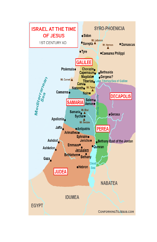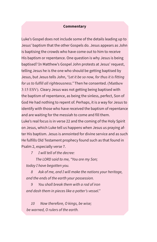### **Commentary**

Luke's Gospel does not include some of the details leading up to Jesus' baptism that the other Gospels do. Jesus appears as John is baptising the crowds who have come out to him to receive His baptism or repentance. One question is why Jesus is being baptised? In Matthew's Gospel John protests at Jesus' request, telling Jesus he is the one who should be getting baptised by Jesus, but Jesus tells John, *"Let it be so now, for thus it is fitting for us to fulfill all righteousness."* Then he consented. (Matthew 3:15 ESV). Cleary Jesus was not getting being baptised with the baptism of repentance, as being the sinless, perfect, Son of God He had nothing to repent of. Perhaps, it is a way for Jesus to identify with those who have received the baptism of repentance and are waiting for the messiah to come and fill them. Luke's real focus is in verse 22 and the coming of the Holy Spirit on Jesus, which Luke tell us happens when Jesus us praying after His baptism. Jesus is annointed for divine service and as such He fulfills Old Testament prophecy found such as that found in Psalm 2, especially verse 7.

 *7 I will tell of the decree:* 

 *The LORD said to me, "You are my Son;* 

 *today I have begotten you.* 

 *8 Ask of me, and I will make the nations your heritage, and the ends of the earth your possession.* 

 *9 You shall break them with a rod of iron and dash them in pieces like a potter's vessel."* 

 *10 Now therefore, O kings, be wise; be warned, O rulers of the earth.*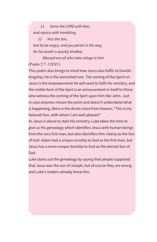*11 Serve the LORD with fear, and rejoice with trembling.* 

 *12 Kiss the Son,* 

 *lest he be angry, and you perish in the way, for his wrath is quickly kindled.* 

 *Blessed are all who take refuge in him.*  (Psalm 2:7–12ESV)

This psalm also brings to mind how Jesus also fulfils te Davidic kingship; He is the annointed one. The coming of the Spirit on Jesus is the empowerment He will need to fulfil His ministry, and the visible form of the Spirt is an annoucement in itself to those who witness the coming of the Spirt upon Him like John. Just in case anyones misses the point and doesn't understand what is happening, there is the divine voice from heaven; "This is my beloved Son, with whom I am well pleased."

As Jesus is about to start His ministry, Luke takes the time to give us His genealogy which identifies Jesus with human beings from the very first man, but also identifies Him clearly as the Son of God. Adam had a unique sonship to God as the first man, but Jesus has a more unique Sonship to God as the eternal Son of God.

Luke starts out the genealogy by saying that people supposed that Jesus was the son of Joseph, but of course they are wrong and Luke's readers already know this.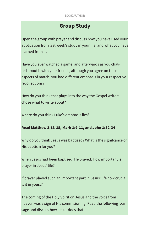# **Group Study**

Open the group with prayer and discuss how you have used your application from last week's study in your life, and what you have learned from it.

Have you ever watched a game, and afterwards as you chatted about it with your friends, although you agree on the main aspects of match, you had different emphasis in your respective recollections?

How do you think that plays into the way the Gospel writers chose what to write about?

Where do you think Luke's emphasis lies?

### **Read Matthew 3:13-15, Mark 1:9-11, and John 1:32-34**

Why do you think Jesus was baptised? What is the signifcance of His baptism for you?

When Jesus had been baptised, He prayed. How important is prayer in Jesus' life?

if prayer played such an important part in Jesus' life how crucial is it in yours?

The coming of the Holy Spirit on Jesus and the voice from heaven was a sign of His commisioning. Read the following passage and discuss how Jesus does that.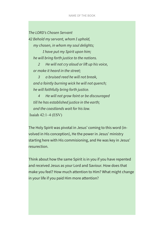*The LORD's Chosen Servant*

*42 Behold my servant, whom I uphold, my chosen, in whom my soul delights;* 

 *I have put my Spirit upon him; he will bring forth justice to the nations.* 

 *2 He will not cry aloud or lift up his voice, or make it heard in the street;* 

 *3 a bruised reed he will not break, and a faintly burning wick he will not quench; he will faithfully bring forth justice.* 

 *4 He will not grow faint or be discouraged till he has established justice in the earth; and the coastlands wait for his law.* Isaiah 42:1–4 (ESV)

The Holy Spirit was pivotal in Jesus' coming to this word (involved in His conception), He the power in Jesus' ministry starting here with His commisioning, and He was key in Jesus' resurection.

Think about how the same Spirit is in you if you have repented and received Jesus as your Lord and Saviour. How does that make you feel? How much attention to Him? What might change in your life if you paid Him more attention?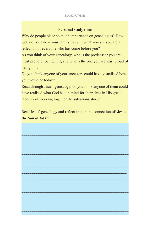### **Personal study time**

Why do people place so much importance on genealogies? How well do you know your family tree? In what way are you are a reflection of everyone who has come before you?

As you think of your genealogy, who is the predecssor you are most proud of being in it, and who is the one you are least proud of being in it.

Do you think anyone of your ancestors could have visualised how you would be today?

Read through Jesus' genealogy, do you think anyone of them could have realised what God had in mind for their lives in His great tapestry of weaving together the salvations story?

Read Jesus' genealogy and reflect and on the connection of: **Jesus the Son of Adam** 

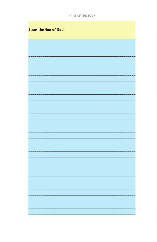| <b>Jesus the Son of David</b> |
|-------------------------------|
|                               |
|                               |
|                               |
|                               |
|                               |
|                               |
|                               |
|                               |
|                               |
|                               |
|                               |
|                               |
|                               |
|                               |
|                               |
|                               |
|                               |
|                               |
|                               |
|                               |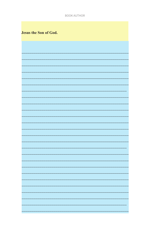| Jesus the Son of God. |  |  |  |  |
|-----------------------|--|--|--|--|
|-----------------------|--|--|--|--|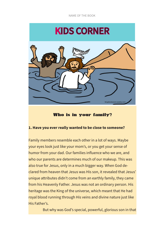# KIDS CORNER



# Who is in your family?

### **1. Have you ever really wanted to be close to someone?**

Family members resemble each other in a lot of ways. Maybe your eyes look just like your mom's, or you get your sense of humor from your dad. Our families influence who we are, and who our parents are determines much of our makeup. This was also true for Jesus, only in a much bigger way. When God declared from heaven that Jesus was His son, it revealed that Jesus' unique attributes didn't come from an earthly family, they came from his Heavenly Father. Jesus was not an ordinary person. His heritage was the King of the universe, which meant that He had royal blood running through His veins and divine nature just like His Father's.

But why was God's special, powerful, glorious son in that